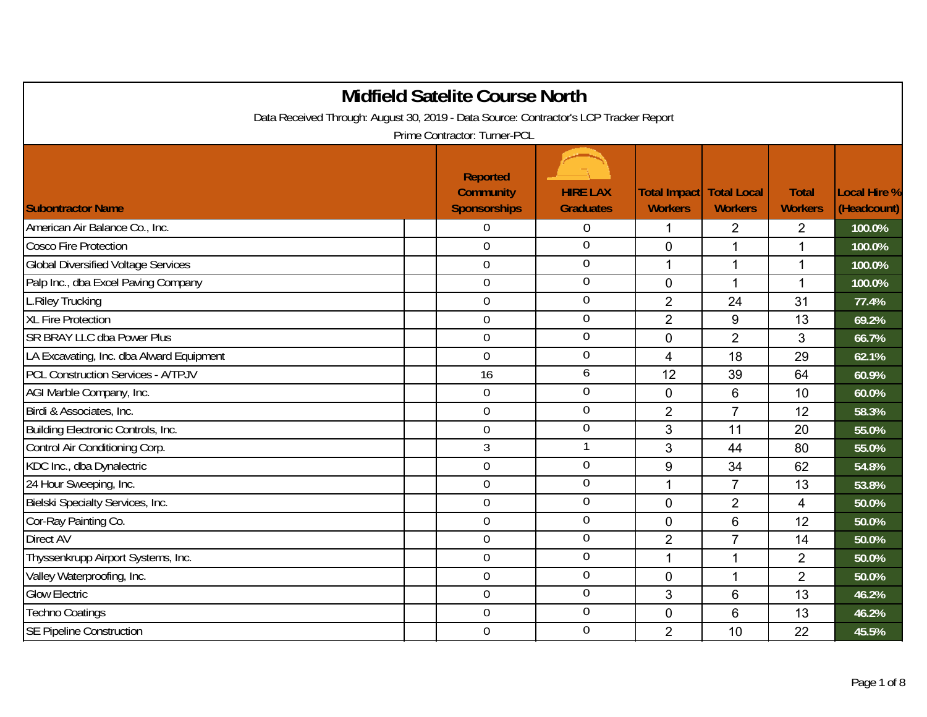|                                                                                       | <b>Midfield Satelite Course North</b>                      |                                     |                                |                                      |                                |                             |
|---------------------------------------------------------------------------------------|------------------------------------------------------------|-------------------------------------|--------------------------------|--------------------------------------|--------------------------------|-----------------------------|
| Data Received Through: August 30, 2019 - Data Source: Contractor's LCP Tracker Report |                                                            |                                     |                                |                                      |                                |                             |
|                                                                                       | Prime Contractor: Turner-PCL                               |                                     |                                |                                      |                                |                             |
| <b>Subontractor Name</b>                                                              | <b>Reported</b><br><b>Community</b><br><b>Sponsorships</b> | <b>HIRE LAX</b><br><b>Graduates</b> | Total Impact<br><b>Workers</b> | <b>Total Local</b><br><b>Workers</b> | <b>Total</b><br><b>Workers</b> | Local Hire %<br>(Headcount) |
| American Air Balance Co., Inc.                                                        | $\boldsymbol{0}$                                           | $\overline{0}$                      | 1                              | $\overline{2}$                       | $\overline{2}$                 | 100.0%                      |
| <b>Cosco Fire Protection</b>                                                          | $\mathbf 0$                                                | $\boldsymbol{0}$                    | $\mathbf 0$                    | $\mathbf{1}$                         | 1                              | 100.0%                      |
| <b>Global Diversified Voltage Services</b>                                            | $\overline{0}$                                             | $\overline{0}$                      | $\mathbf 1$                    | $\mathbf 1$                          | 1                              | 100.0%                      |
| Palp Inc., dba Excel Paving Company                                                   | $\overline{0}$                                             | $\overline{0}$                      | $\mathbf 0$                    | $\mathbf 1$                          | 1                              | 100.0%                      |
| L.Riley Trucking                                                                      | $\overline{0}$                                             | $\mathbf 0$                         | $\overline{2}$                 | 24                                   | 31                             | 77.4%                       |
| <b>XL Fire Protection</b>                                                             | $\overline{0}$                                             | $\overline{0}$                      | $\overline{2}$                 | 9                                    | 13                             | 69.2%                       |
| SR BRAY LLC dba Power Plus                                                            | $\overline{0}$                                             | $\mathbf 0$                         | $\mathbf 0$                    | $\overline{2}$                       | 3                              | 66.7%                       |
| LA Excavating, Inc. dba Alward Equipment                                              | $\overline{0}$                                             | $\overline{0}$                      | 4                              | 18                                   | 29                             | 62.1%                       |
| <b>PCL Construction Services - A/TPJV</b>                                             | 16                                                         | 6                                   | 12                             | 39                                   | 64                             | 60.9%                       |
| AGI Marble Company, Inc.                                                              | $\overline{0}$                                             | $\mathbf 0$                         | $\mathbf{0}$                   | 6                                    | 10                             | 60.0%                       |
| Birdi & Associates, Inc.                                                              | $\mathbf 0$                                                | $\mathbf 0$                         | $\overline{2}$                 | $\overline{7}$                       | 12                             | 58.3%                       |
| Building Electronic Controls, Inc.                                                    | $\mathbf 0$                                                | $\boldsymbol{0}$                    | 3                              | 11                                   | 20                             | 55.0%                       |
| Control Air Conditioning Corp.                                                        | 3                                                          | $\mathbf{1}$                        | 3                              | 44                                   | 80                             | 55.0%                       |
| KDC Inc., dba Dynalectric                                                             | $\mathbf 0$                                                | $\mathbf 0$                         | 9                              | 34                                   | 62                             | 54.8%                       |
| 24 Hour Sweeping, Inc.                                                                | $\overline{0}$                                             | $\mathbf 0$                         | 1                              | $\overline{7}$                       | 13                             | 53.8%                       |
| Bielski Specialty Services, Inc.                                                      | $\mathbf 0$                                                | $\mathbf 0$                         | $\mathbf 0$                    | $\overline{2}$                       | 4                              | 50.0%                       |
| Cor-Ray Painting Co.                                                                  | $\overline{0}$                                             | $\mathbf 0$                         | $\Omega$                       | 6                                    | 12                             | 50.0%                       |
| Direct AV                                                                             | $\mathbf 0$                                                | $\mathbf 0$                         | $\overline{2}$                 | $\overline{7}$                       | 14                             | 50.0%                       |
| Thyssenkrupp Airport Systems, Inc.                                                    | $\mathbf 0$                                                | $\mathbf 0$                         | 1                              | $\mathbf{1}$                         | $\overline{2}$                 | 50.0%                       |
| Valley Waterproofing, Inc.                                                            | $\overline{0}$                                             | $\mathbf 0$                         | $\mathbf 0$                    | $\mathbf 1$                          | $\overline{2}$                 | 50.0%                       |
| <b>Glow Electric</b>                                                                  | $\overline{0}$                                             | $\overline{0}$                      | 3                              | 6                                    | 13                             | 46.2%                       |
| <b>Techno Coatings</b>                                                                | $\mathbf 0$                                                | $\boldsymbol{0}$                    | $\mathbf 0$                    | 6                                    | 13                             | 46.2%                       |
| <b>SE Pipeline Construction</b>                                                       | $\mathbf 0$                                                | $\mathbf 0$                         | $\overline{2}$                 | 10                                   | 22                             | 45.5%                       |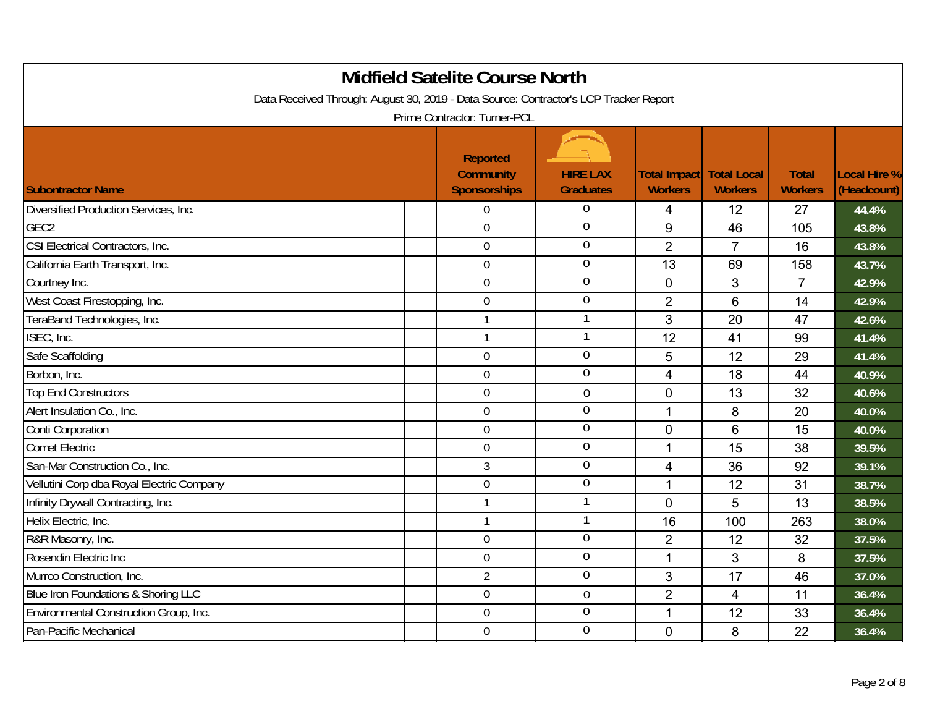| <b>Midfield Satelite Course North</b><br>Data Received Through: August 30, 2019 - Data Source: Contractor's LCP Tracker Report<br>Prime Contractor: Turner-PCL |                                                            |                                     |                                |                                      |                                |                                    |  |  |
|----------------------------------------------------------------------------------------------------------------------------------------------------------------|------------------------------------------------------------|-------------------------------------|--------------------------------|--------------------------------------|--------------------------------|------------------------------------|--|--|
| <b>Subontractor Name</b>                                                                                                                                       | <b>Reported</b><br><b>Community</b><br><b>Sponsorships</b> | <b>HIRE LAX</b><br><b>Graduates</b> | Total Impact<br><b>Workers</b> | <b>Total Local</b><br><b>Workers</b> | <b>Total</b><br><b>Workers</b> | <b>Local Hire %</b><br>(Headcount) |  |  |
| Diversified Production Services, Inc.                                                                                                                          | 0                                                          | $\Omega$                            | $\overline{4}$                 | 12                                   | 27                             | 44.4%                              |  |  |
| GEC <sub>2</sub>                                                                                                                                               | $\overline{0}$                                             | $\overline{0}$                      | 9                              | 46                                   | 105                            | 43.8%                              |  |  |
| CSI Electrical Contractors, Inc.                                                                                                                               | $\mathbf 0$                                                | $\boldsymbol{0}$                    | $\overline{2}$                 | $\overline{7}$                       | 16                             | 43.8%                              |  |  |
| California Earth Transport, Inc.                                                                                                                               | $\boldsymbol{0}$                                           | $\mathbf 0$                         | 13                             | 69                                   | 158                            | 43.7%                              |  |  |
| Courtney Inc.                                                                                                                                                  | $\overline{0}$                                             | $\overline{0}$                      | $\overline{0}$                 | 3                                    | $\overline{7}$                 | 42.9%                              |  |  |
| West Coast Firestopping, Inc.                                                                                                                                  | $\mathbf 0$                                                | $\mathbf 0$                         | $\overline{2}$                 | 6                                    | 14                             | 42.9%                              |  |  |
| TeraBand Technologies, Inc.                                                                                                                                    | $\mathbf{1}$                                               | -1                                  | $\mathfrak{S}$                 | 20                                   | 47                             | 42.6%                              |  |  |
| ISEC, Inc.                                                                                                                                                     | $\mathbf{1}$                                               | -1                                  | 12                             | 41                                   | 99                             | 41.4%                              |  |  |
| Safe Scaffolding                                                                                                                                               | $\mathbf 0$                                                | $\overline{0}$                      | 5                              | 12                                   | 29                             | 41.4%                              |  |  |
| Borbon, Inc.                                                                                                                                                   | $\overline{0}$                                             | $\mathbf 0$                         | $\overline{4}$                 | 18                                   | 44                             | 40.9%                              |  |  |
| <b>Top End Constructors</b>                                                                                                                                    | $\mathbf 0$                                                | $\mathbf 0$                         | $\overline{0}$                 | 13                                   | 32                             | 40.6%                              |  |  |
| Alert Insulation Co., Inc.                                                                                                                                     | $\mathbf 0$                                                | $\overline{0}$                      | 1                              | 8                                    | 20                             | 40.0%                              |  |  |
| Conti Corporation                                                                                                                                              | $\overline{0}$                                             | $\overline{0}$                      | $\Omega$                       | 6                                    | 15                             | 40.0%                              |  |  |
| <b>Comet Electric</b>                                                                                                                                          | $\mathbf 0$                                                | $\overline{0}$                      | 1                              | 15                                   | 38                             | 39.5%                              |  |  |
| San-Mar Construction Co., Inc.                                                                                                                                 | 3                                                          | $\boldsymbol{0}$                    | $\overline{4}$                 | 36                                   | 92                             | 39.1%                              |  |  |
| Vellutini Corp dba Royal Electric Company                                                                                                                      | $\mathbf 0$                                                | $\overline{0}$                      | $\mathbf{1}$                   | 12                                   | 31                             | 38.7%                              |  |  |
| Infinity Drywall Contracting, Inc.                                                                                                                             | $\mathbf{1}$                                               | 1                                   | $\overline{0}$                 | 5                                    | 13                             | 38.5%                              |  |  |
| Helix Electric, Inc.                                                                                                                                           | $\mathbf{1}$                                               | $\overline{\phantom{a}}$            | 16                             | 100                                  | 263                            | 38.0%                              |  |  |
| R&R Masonry, Inc.                                                                                                                                              | $\overline{0}$                                             | $\mathbf 0$                         | $\overline{2}$                 | 12                                   | 32                             | 37.5%                              |  |  |
| Rosendin Electric Inc                                                                                                                                          | $\mathbf 0$                                                | $\mathbf 0$                         | $\mathbf 1$                    | 3                                    | 8                              | 37.5%                              |  |  |
| Murrco Construction, Inc.                                                                                                                                      | $\overline{2}$                                             | $\overline{0}$                      | 3                              | 17                                   | 46                             | 37.0%                              |  |  |
| Blue Iron Foundations & Shoring LLC                                                                                                                            | $\mathbf 0$                                                | $\overline{0}$                      | $\overline{2}$                 | 4                                    | 11                             | 36.4%                              |  |  |
| Environmental Construction Group, Inc.                                                                                                                         | $\mathbf 0$                                                | $\mathbf 0$                         | 1                              | 12                                   | 33                             | 36.4%                              |  |  |
| Pan-Pacific Mechanical                                                                                                                                         | $\mathbf 0$                                                | $\overline{0}$                      | $\mathbf 0$                    | 8                                    | 22                             | 36.4%                              |  |  |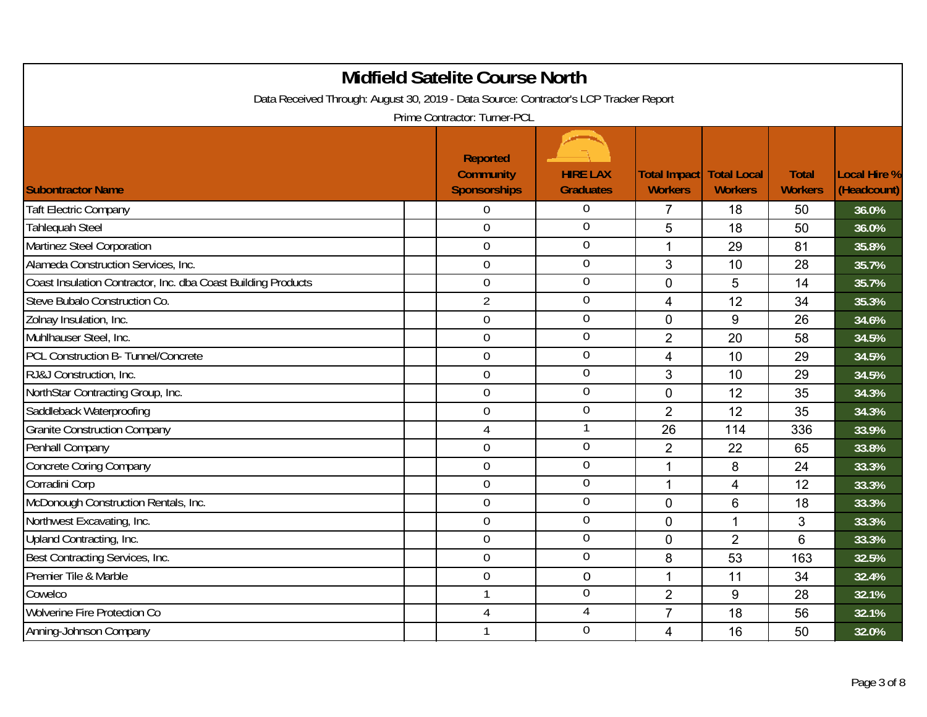| <b>Midfield Satelite Course North</b><br>Data Received Through: August 30, 2019 - Data Source: Contractor's LCP Tracker Report<br>Prime Contractor: Turner-PCL |                                                            |                                     |                                       |                                      |                                |                                    |  |
|----------------------------------------------------------------------------------------------------------------------------------------------------------------|------------------------------------------------------------|-------------------------------------|---------------------------------------|--------------------------------------|--------------------------------|------------------------------------|--|
| <b>Subontractor Name</b>                                                                                                                                       | <b>Reported</b><br><b>Community</b><br><b>Sponsorships</b> | <b>HIRE LAX</b><br><b>Graduates</b> | <b>Total Impact</b><br><b>Workers</b> | <b>Total Local</b><br><b>Workers</b> | <b>Total</b><br><b>Workers</b> | <b>Local Hire %</b><br>(Headcount) |  |
| <b>Taft Electric Company</b>                                                                                                                                   | 0                                                          | $\Omega$                            | $\overline{7}$                        | 18                                   | 50                             | 36.0%                              |  |
| <b>Tahlequah Steel</b>                                                                                                                                         | $\mathbf 0$                                                | $\Omega$                            | 5                                     | 18                                   | 50                             | 36.0%                              |  |
| Martinez Steel Corporation                                                                                                                                     | $\mathbf 0$                                                | $\mathbf 0$                         | 1                                     | 29                                   | 81                             | 35.8%                              |  |
| Alameda Construction Services, Inc.                                                                                                                            | 0                                                          | $\overline{0}$                      | 3                                     | 10                                   | 28                             | 35.7%                              |  |
| Coast Insulation Contractor, Inc. dba Coast Building Products                                                                                                  | $\overline{0}$                                             | $\theta$                            | $\overline{0}$                        | 5                                    | 14                             | 35.7%                              |  |
| Steve Bubalo Construction Co.                                                                                                                                  | $\overline{2}$                                             | $\overline{0}$                      | $\overline{4}$                        | 12                                   | 34                             | 35.3%                              |  |
| Zolnay Insulation, Inc.                                                                                                                                        | $\overline{0}$                                             | $\theta$                            | $\overline{0}$                        | 9                                    | 26                             | 34.6%                              |  |
| Muhlhauser Steel, Inc.                                                                                                                                         | $\overline{0}$                                             | $\overline{0}$                      | $\overline{2}$                        | 20                                   | 58                             | 34.5%                              |  |
| PCL Construction B- Tunnel/Concrete                                                                                                                            | 0                                                          | $\overline{0}$                      | $\overline{4}$                        | 10                                   | 29                             | 34.5%                              |  |
| RJ&J Construction, Inc.                                                                                                                                        | $\mathbf 0$                                                | $\overline{0}$                      | 3                                     | 10                                   | 29                             | 34.5%                              |  |
| NorthStar Contracting Group, Inc.                                                                                                                              | $\mathbf 0$                                                | $\overline{0}$                      | $\overline{0}$                        | 12                                   | 35                             | 34.3%                              |  |
| Saddleback Waterproofing                                                                                                                                       | $\mathbf 0$                                                | $\overline{0}$                      | $\overline{2}$                        | 12                                   | 35                             | 34.3%                              |  |
| <b>Granite Construction Company</b>                                                                                                                            | $\overline{4}$                                             | 1                                   | 26                                    | 114                                  | 336                            | 33.9%                              |  |
| Penhall Company                                                                                                                                                | $\overline{0}$                                             | $\mathbf 0$                         | $\overline{2}$                        | 22                                   | 65                             | 33.8%                              |  |
| <b>Concrete Coring Company</b>                                                                                                                                 | $\mathbf 0$                                                | $\mathbf 0$                         | 1                                     | 8                                    | 24                             | 33.3%                              |  |
| Corradini Corp                                                                                                                                                 | $\mathbf 0$                                                | $\overline{0}$                      | 1                                     | $\overline{4}$                       | 12                             | 33.3%                              |  |
| McDonough Construction Rentals, Inc.                                                                                                                           | $\mathbf 0$                                                | $\overline{0}$                      | $\Omega$                              | 6                                    | 18                             | 33.3%                              |  |
| Northwest Excavating, Inc.                                                                                                                                     | $\overline{0}$                                             | $\mathbf 0$                         | $\Omega$                              | 1                                    | 3                              | 33.3%                              |  |
| Upland Contracting, Inc.                                                                                                                                       | $\overline{0}$                                             | $\overline{0}$                      | $\overline{0}$                        | $\overline{2}$                       | 6                              | 33.3%                              |  |
| Best Contracting Services, Inc.                                                                                                                                | $\mathbf 0$                                                | $\overline{0}$                      | 8                                     | 53                                   | 163                            | 32.5%                              |  |
| Premier Tile & Marble                                                                                                                                          | $\mathbf 0$                                                | $\mathbf 0$                         | $\mathbf{1}$                          | 11                                   | 34                             | 32.4%                              |  |
| Cowelco                                                                                                                                                        | $\mathbf{1}$                                               | $\overline{0}$                      | $\overline{2}$                        | 9                                    | 28                             | 32.1%                              |  |
| <b>Wolverine Fire Protection Co</b>                                                                                                                            | 4                                                          | 4                                   | $\overline{7}$                        | 18                                   | 56                             | 32.1%                              |  |
| Anning-Johnson Company                                                                                                                                         | 1                                                          | $\overline{0}$                      | 4                                     | 16                                   | 50                             | 32.0%                              |  |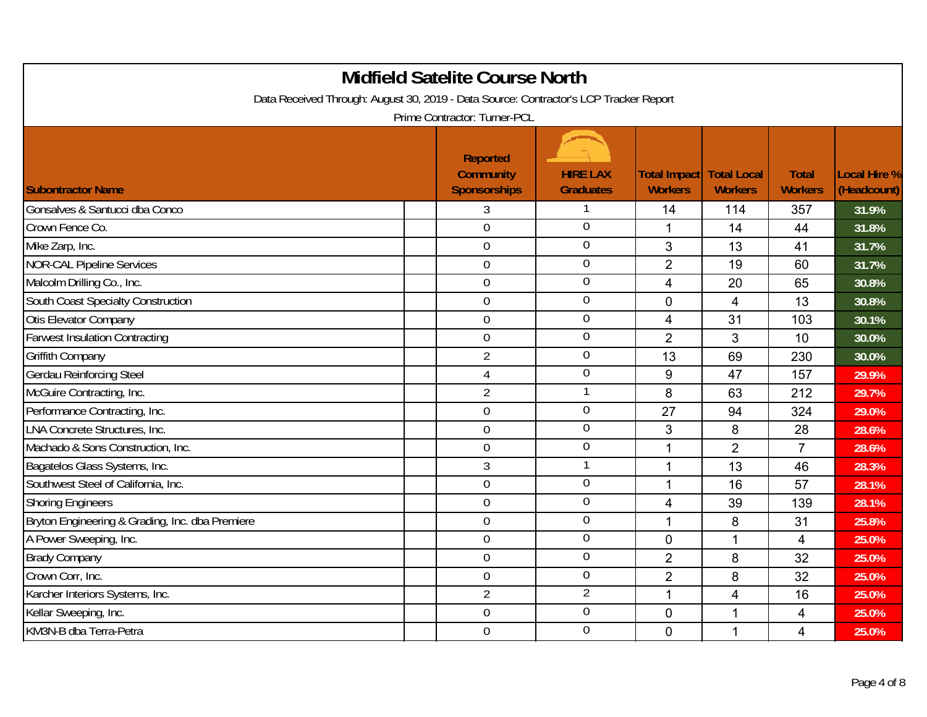| <b>Midfield Satelite Course North</b><br>Data Received Through: August 30, 2019 - Data Source: Contractor's LCP Tracker Report<br>Prime Contractor: Turner-PCL |                                                            |                                     |                                       |                                      |                                |                                    |  |  |
|----------------------------------------------------------------------------------------------------------------------------------------------------------------|------------------------------------------------------------|-------------------------------------|---------------------------------------|--------------------------------------|--------------------------------|------------------------------------|--|--|
| <b>Subontractor Name</b>                                                                                                                                       | <b>Reported</b><br><b>Community</b><br><b>Sponsorships</b> | <b>HIRE LAX</b><br><b>Graduates</b> | <b>Total Impact</b><br><b>Workers</b> | <b>Total Local</b><br><b>Workers</b> | <b>Total</b><br><b>Workers</b> | <b>Local Hire %</b><br>(Headcount) |  |  |
| Gonsalves & Santucci dba Conco                                                                                                                                 | 3                                                          | -1                                  | 14                                    | 114                                  | 357                            | 31.9%                              |  |  |
| Crown Fence Co.                                                                                                                                                | $\overline{0}$                                             | $\overline{0}$                      | 1                                     | 14                                   | 44                             | 31.8%                              |  |  |
| Mike Zarp, Inc.                                                                                                                                                | $\mathbf 0$                                                | $\mathbf 0$                         | 3                                     | 13                                   | 41                             | 31.7%                              |  |  |
| <b>NOR-CAL Pipeline Services</b>                                                                                                                               | $\mathbf 0$                                                | $\overline{0}$                      | $\overline{2}$                        | 19                                   | 60                             | 31.7%                              |  |  |
| Malcolm Drilling Co., Inc.                                                                                                                                     | $\mathbf 0$                                                | $\overline{0}$                      | $\overline{4}$                        | 20                                   | 65                             | 30.8%                              |  |  |
| South Coast Specialty Construction                                                                                                                             | $\mathbf 0$                                                | $\overline{0}$                      | $\mathbf 0$                           | 4                                    | 13                             | 30.8%                              |  |  |
| <b>Otis Elevator Company</b>                                                                                                                                   | $\mathbf 0$                                                | $\overline{0}$                      | $\overline{4}$                        | 31                                   | 103                            | 30.1%                              |  |  |
| <b>Farwest Insulation Contracting</b>                                                                                                                          | $\mathbf 0$                                                | $\overline{0}$                      | $\overline{2}$                        | 3                                    | 10                             | 30.0%                              |  |  |
| <b>Griffith Company</b>                                                                                                                                        | $\overline{2}$                                             | $\mathbf 0$                         | 13                                    | 69                                   | 230                            | 30.0%                              |  |  |
| Gerdau Reinforcing Steel                                                                                                                                       | $\overline{4}$                                             | $\overline{0}$                      | 9                                     | 47                                   | 157                            | 29.9%                              |  |  |
| McGuire Contracting, Inc.                                                                                                                                      | $\overline{2}$                                             | $\mathbf{1}$                        | 8                                     | 63                                   | 212                            | 29.7%                              |  |  |
| Performance Contracting, Inc.                                                                                                                                  | $\overline{0}$                                             | $\overline{0}$                      | 27                                    | 94                                   | 324                            | 29.0%                              |  |  |
| <b>LNA Concrete Structures, Inc.</b>                                                                                                                           | 0                                                          | $\overline{0}$                      | 3                                     | 8                                    | 28                             | 28.6%                              |  |  |
| Machado & Sons Construction, Inc.                                                                                                                              | 0                                                          | $\mathbf 0$                         | 1                                     | $\overline{2}$                       | $\overline{7}$                 | 28.6%                              |  |  |
| Bagatelos Glass Systems, Inc.                                                                                                                                  | 3                                                          | $\overline{1}$                      | 1                                     | 13                                   | 46                             | 28.3%                              |  |  |
| Southwest Steel of California, Inc.                                                                                                                            | 0                                                          | $\overline{0}$                      | 1                                     | 16                                   | 57                             | 28.1%                              |  |  |
| <b>Shoring Engineers</b>                                                                                                                                       | 0                                                          | $\overline{0}$                      | $\overline{\mathbf{4}}$               | 39                                   | 139                            | 28.1%                              |  |  |
| Bryton Engineering & Grading, Inc. dba Premiere                                                                                                                | 0                                                          | $\overline{0}$                      | 1                                     | 8                                    | 31                             | 25.8%                              |  |  |
| A Power Sweeping, Inc.                                                                                                                                         | $\overline{0}$                                             | $\mathbf 0$                         | $\overline{0}$                        | $\mathbf{1}$                         | 4                              | 25.0%                              |  |  |
| <b>Brady Company</b>                                                                                                                                           | $\mathbf 0$                                                | $\mathbf 0$                         | $\overline{2}$                        | 8                                    | 32                             | 25.0%                              |  |  |
| Crown Corr, Inc.                                                                                                                                               | $\mathbf 0$                                                | $\overline{0}$                      | $\overline{2}$                        | 8                                    | 32                             | 25.0%                              |  |  |
| Karcher Interiors Systems, Inc.                                                                                                                                | $\overline{2}$                                             | $\overline{2}$                      | 1                                     | 4                                    | 16                             | 25.0%                              |  |  |
| Kellar Sweeping, Inc.                                                                                                                                          | 0                                                          | $\mathbf 0$                         | $\mathbf 0$                           | $\overline{1}$                       | 4                              | 25.0%                              |  |  |
| KM3N-B dba Terra-Petra                                                                                                                                         | 0                                                          | $\overline{0}$                      | $\mathbf 0$                           | 1                                    | 4                              | 25.0%                              |  |  |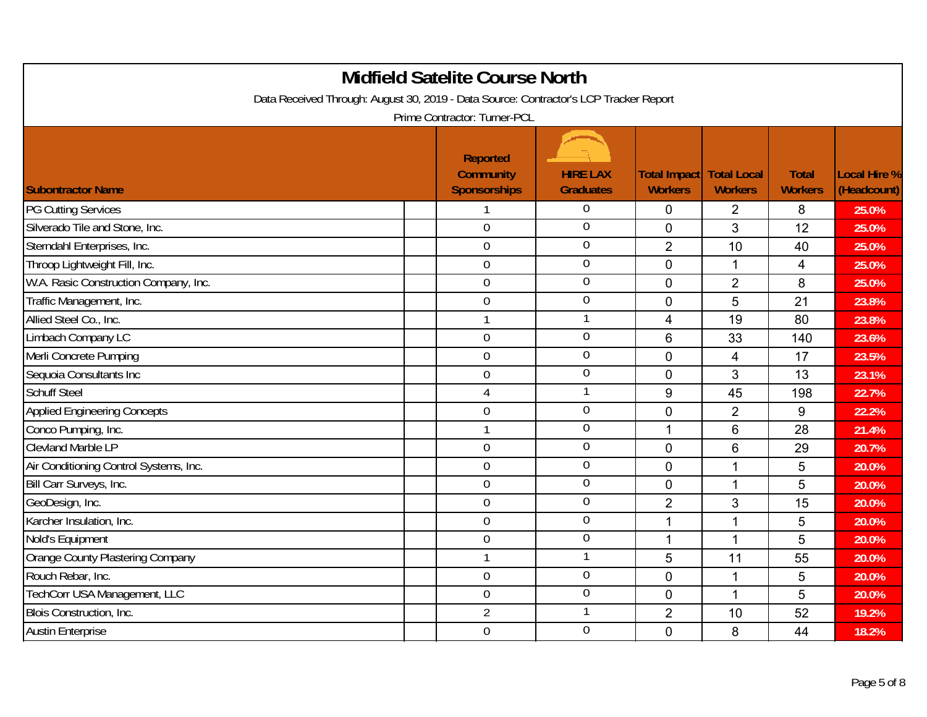| <b>Midfield Satelite Course North</b><br>Data Received Through: August 30, 2019 - Data Source: Contractor's LCP Tracker Report<br>Prime Contractor: Turner-PCL |  |                                                            |                                     |                                                   |                         |                                |                             |  |
|----------------------------------------------------------------------------------------------------------------------------------------------------------------|--|------------------------------------------------------------|-------------------------------------|---------------------------------------------------|-------------------------|--------------------------------|-----------------------------|--|
| <b>Subontractor Name</b>                                                                                                                                       |  | <b>Reported</b><br><b>Community</b><br><b>Sponsorships</b> | <b>HIRE LAX</b><br><b>Graduates</b> | <b>Total Impact Total Local</b><br><b>Workers</b> | <b>Workers</b>          | <b>Total</b><br><b>Workers</b> | Local Hire %<br>(Headcount) |  |
| <b>PG Cutting Services</b>                                                                                                                                     |  | 1                                                          | $\theta$                            | $\mathbf 0$                                       | $\overline{2}$          | 8                              | 25.0%                       |  |
| Silverado Tile and Stone, Inc.                                                                                                                                 |  | $\overline{0}$                                             | $\overline{0}$                      | $\Omega$                                          | 3                       | 12                             | 25.0%                       |  |
| Sterndahl Enterprises, Inc.                                                                                                                                    |  | $\mathbf 0$                                                | $\boldsymbol{0}$                    | $\overline{2}$                                    | 10                      | 40                             | 25.0%                       |  |
| Throop Lightweight Fill, Inc.                                                                                                                                  |  | $\mathbf 0$                                                | $\boldsymbol{0}$                    | $\mathbf 0$                                       | $\mathbf 1$             | 4                              | 25.0%                       |  |
| W.A. Rasic Construction Company, Inc.                                                                                                                          |  | $\overline{0}$                                             | $\overline{0}$                      | $\Omega$                                          | $\overline{2}$          | 8                              | 25.0%                       |  |
| Traffic Management, Inc.                                                                                                                                       |  | $\overline{0}$                                             | $\mathbf 0$                         | $\mathbf 0$                                       | 5                       | 21                             | 23.8%                       |  |
| Allied Steel Co., Inc.                                                                                                                                         |  | $\mathbf{1}$                                               | 1                                   | $\overline{4}$                                    | 19                      | 80                             | 23.8%                       |  |
| Limbach Company LC                                                                                                                                             |  | $\overline{0}$                                             | $\overline{0}$                      | 6                                                 | 33                      | 140                            | 23.6%                       |  |
| Merli Concrete Pumping                                                                                                                                         |  | $\boldsymbol{0}$                                           | $\boldsymbol{0}$                    | $\mathbf 0$                                       | $\overline{\mathbf{4}}$ | 17                             | 23.5%                       |  |
| Sequoia Consultants Inc                                                                                                                                        |  | $\mathbf 0$                                                | $\overline{0}$                      | $\overline{0}$                                    | 3                       | 13                             | 23.1%                       |  |
| <b>Schuff Steel</b>                                                                                                                                            |  | 4                                                          | $\mathbf 1$                         | 9                                                 | 45                      | 198                            | 22.7%                       |  |
| <b>Applied Engineering Concepts</b>                                                                                                                            |  | $\overline{0}$                                             | $\mathbf 0$                         | $\overline{0}$                                    | $\overline{2}$          | 9                              | 22.2%                       |  |
| Conco Pumping, Inc.                                                                                                                                            |  | $\mathbf{1}$                                               | $\boldsymbol{0}$                    | $\overline{1}$                                    | 6                       | 28                             | 21.4%                       |  |
| <b>Clevland Marble LP</b>                                                                                                                                      |  | $\overline{0}$                                             | $\mathbf 0$                         | $\mathbf 0$                                       | 6                       | 29                             | 20.7%                       |  |
| Air Conditioning Control Systems, Inc.                                                                                                                         |  | $\overline{0}$                                             | $\mathbf 0$                         | $\mathbf 0$                                       | 1                       | 5                              | 20.0%                       |  |
| Bill Carr Surveys, Inc.                                                                                                                                        |  | $\mathbf 0$                                                | $\overline{0}$                      | $\overline{0}$                                    | $\mathbf{1}$            | 5                              | 20.0%                       |  |
| GeoDesign, Inc.                                                                                                                                                |  | $\overline{0}$                                             | $\overline{0}$                      | $\overline{2}$                                    | 3                       | 15                             | 20.0%                       |  |
| Karcher Insulation, Inc.                                                                                                                                       |  | $\overline{0}$                                             | $\mathbf 0$                         | 1                                                 | $\mathbf{1}$            | 5                              | 20.0%                       |  |
| Nold's Equipment                                                                                                                                               |  | $\mathbf 0$                                                | $\boldsymbol{0}$                    | $\mathbf{1}$                                      | 1                       | 5                              | 20.0%                       |  |
| Orange County Plastering Company                                                                                                                               |  | $\mathbf{1}$                                               | 1                                   | 5                                                 | 11                      | 55                             | 20.0%                       |  |
| Rouch Rebar, Inc.                                                                                                                                              |  | $\overline{0}$                                             | $\mathbf 0$                         | $\mathbf 0$                                       | $\mathbf{1}$            | 5                              | 20.0%                       |  |
| TechCorr USA Management, LLC                                                                                                                                   |  | $\mathbf 0$                                                | $\boldsymbol{0}$                    | $\Omega$                                          | 1                       | 5                              | 20.0%                       |  |
| Blois Construction, Inc.                                                                                                                                       |  | $\overline{2}$                                             |                                     | $\overline{2}$                                    | 10                      | 52                             | 19.2%                       |  |
| <b>Austin Enterprise</b>                                                                                                                                       |  | $\overline{0}$                                             | $\mathbf 0$                         | $\mathbf 0$                                       | 8                       | 44                             | 18.2%                       |  |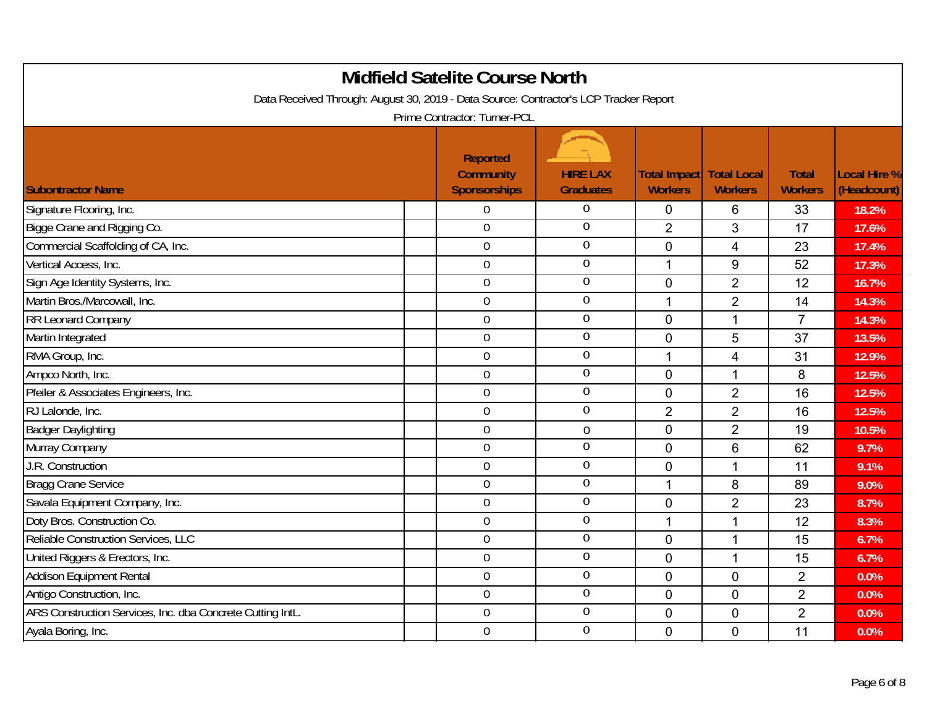| Data Received Through: August 30, 2019 - Data Source: Contractor's LCP Tracker Report | <b>Midfield Satelite Course North</b><br>Prime Contractor: Turner-PCL |                                     |                                |                                      |                                |                                    |
|---------------------------------------------------------------------------------------|-----------------------------------------------------------------------|-------------------------------------|--------------------------------|--------------------------------------|--------------------------------|------------------------------------|
| <b>Subontractor Name</b>                                                              | <b>Reported</b><br><b>Community</b><br><b>Sponsorships</b>            | <b>HIRE LAX</b><br><b>Graduates</b> | Total Impact<br><b>Workers</b> | <b>Total Local</b><br><b>Workers</b> | <b>Total</b><br><b>Workers</b> | <b>Local Hire %</b><br>(Headcount) |
| Signature Flooring, Inc.                                                              | 0                                                                     | $\Omega$                            | $\mathbf 0$                    | 6                                    | 33                             | 18.2%                              |
| Bigge Crane and Rigging Co.                                                           | $\overline{0}$                                                        | $\overline{0}$                      | $\overline{2}$                 | 3                                    | 17                             | 17.6%                              |
| Commercial Scaffolding of CA, Inc.                                                    | 0                                                                     | $\mathbf 0$                         | $\mathbf 0$                    | 4                                    | 23                             | 17.4%                              |
| Vertical Access, Inc.                                                                 | $\mathbf 0$                                                           | $\theta$                            | $\mathbf 1$                    | 9                                    | 52                             | 17.3%                              |
| Sign Age Identity Systems, Inc.                                                       | $\overline{0}$                                                        | $\overline{0}$                      | $\Omega$                       | $\overline{2}$                       | 12                             | 16.7%                              |
| Martin Bros./Marcowall, Inc.                                                          | $\mathbf 0$                                                           | $\overline{0}$                      | 1                              | $\overline{2}$                       | 14                             | 14.3%                              |
| RR Leonard Company                                                                    | $\boldsymbol{0}$                                                      | $\overline{0}$                      | $\overline{0}$                 | $\mathbf{1}$                         | $\overline{7}$                 | 14.3%                              |
| Martin Integrated                                                                     | $\overline{0}$                                                        | $\overline{0}$                      | $\overline{0}$                 | 5                                    | 37                             | 13.5%                              |
| RMA Group, Inc.                                                                       | $\mathbf 0$                                                           | $\mathbf 0$                         | 1                              | 4                                    | 31                             | 12.9%                              |
| Ampco North, Inc.                                                                     | 0                                                                     | $\overline{0}$                      | $\overline{0}$                 | $\mathbf{1}$                         | 8                              | 12.5%                              |
| Pfeiler & Associates Engineers, Inc.                                                  | $\mathbf 0$                                                           | $\overline{0}$                      | $\overline{0}$                 | $\overline{2}$                       | 16                             | 12.5%                              |
| RJ Lalonde, Inc.                                                                      | $\overline{0}$                                                        | $\overline{0}$                      | $\overline{2}$                 | $\overline{2}$                       | 16                             | 12.5%                              |
| <b>Badger Daylighting</b>                                                             | $\mathbf 0$                                                           | $\mathbf 0$                         | $\overline{0}$                 | $\overline{2}$                       | 19                             | 10.5%                              |
| Murray Company                                                                        | $\mathbf 0$                                                           | $\mathbf 0$                         | $\overline{0}$                 | 6                                    | 62                             | 9.7%                               |
| J.R. Construction                                                                     | $\mathbf 0$                                                           | $\mathbf 0$                         | $\mathbf 0$                    | $\mathbf 1$                          | 11                             | 9.1%                               |
| <b>Bragg Crane Service</b>                                                            | $\mathbf 0$                                                           | $\overline{0}$                      | $\mathbf{1}$                   | 8                                    | 89                             | 9.0%                               |
| Savala Equipment Company, Inc.                                                        | $\overline{0}$                                                        | $\overline{0}$                      | $\Omega$                       | $\overline{2}$                       | 23                             | 8.7%                               |
| Doty Bros. Construction Co.                                                           | $\overline{0}$                                                        | $\overline{0}$                      | 1                              | 1                                    | 12                             | 8.3%                               |
| Reliable Construction Services, LLC                                                   | $\overline{0}$                                                        | $\overline{0}$                      | $\overline{0}$                 | $\mathbf{1}$                         | 15                             | 6.7%                               |
| United Riggers & Erectors, Inc.                                                       | $\mathbf 0$                                                           | $\overline{0}$                      | $\mathbf 0$                    | $\mathbf{1}$                         | 15                             | 6.7%                               |
| Addison Equipment Rental                                                              | $\mathbf 0$                                                           | $\overline{0}$                      | $\mathbf 0$                    | $\mathbf 0$                          | $\overline{2}$                 | 0.0%                               |
| Antigo Construction, Inc.                                                             | $\overline{0}$                                                        | $\overline{0}$                      | $\overline{0}$                 | $\overline{0}$                       | $\overline{2}$                 | 0.0%                               |
| ARS Construction Services, Inc. dba Concrete Cutting IntL.                            | 0                                                                     | $\overline{0}$                      | $\mathbf 0$                    | $\overline{0}$                       | $\overline{2}$                 | 0.0%                               |
| Ayala Boring, Inc.                                                                    | $\overline{0}$                                                        | $\overline{0}$                      | $\mathbf 0$                    | 0                                    | 11                             | 0.0%                               |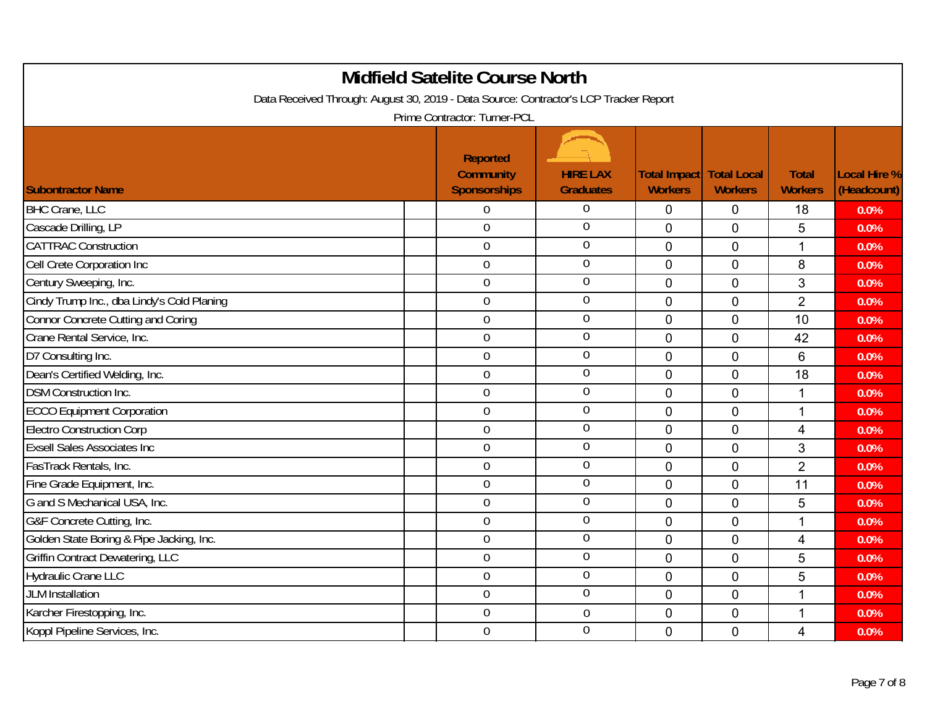| <b>Midfield Satelite Course North</b><br>Data Received Through: August 30, 2019 - Data Source: Contractor's LCP Tracker Report<br>Prime Contractor: Turner-PCL |                                                            |                                     |                                |                                      |                                |                                    |  |  |
|----------------------------------------------------------------------------------------------------------------------------------------------------------------|------------------------------------------------------------|-------------------------------------|--------------------------------|--------------------------------------|--------------------------------|------------------------------------|--|--|
| <b>Subontractor Name</b>                                                                                                                                       | <b>Reported</b><br><b>Community</b><br><b>Sponsorships</b> | <b>HIRE LAX</b><br><b>Graduates</b> | Total Impact<br><b>Workers</b> | <b>Total Local</b><br><b>Workers</b> | <b>Total</b><br><b>Workers</b> | <b>Local Hire %</b><br>(Headcount) |  |  |
| <b>BHC Crane, LLC</b>                                                                                                                                          | 0                                                          | $\theta$                            | 0                              | $\mathbf 0$                          | 18                             | 0.0%                               |  |  |
| Cascade Drilling, LP                                                                                                                                           | $\overline{0}$                                             | $\theta$                            | $\overline{0}$                 | $\overline{0}$                       | 5                              | 0.0%                               |  |  |
| <b>CATTRAC Construction</b>                                                                                                                                    | $\mathbf 0$                                                | $\mathbf 0$                         | $\mathbf 0$                    | $\pmb{0}$                            | 1                              | 0.0%                               |  |  |
| Cell Crete Corporation Inc                                                                                                                                     | $\boldsymbol{0}$                                           | $\overline{0}$                      | $\mathbf 0$                    | 0                                    | 8                              | 0.0%                               |  |  |
| Century Sweeping, Inc.                                                                                                                                         | $\overline{0}$                                             | $\overline{0}$                      | $\overline{0}$                 | $\overline{0}$                       | 3                              | 0.0%                               |  |  |
| Cindy Trump Inc., dba Lindy's Cold Planing                                                                                                                     | 0                                                          | $\mathbf 0$                         | $\mathbf{0}$                   | $\overline{0}$                       | $\overline{2}$                 | 0.0%                               |  |  |
| <b>Connor Concrete Cutting and Coring</b>                                                                                                                      | $\mathbf 0$                                                | $\overline{0}$                      | $\overline{0}$                 | 0                                    | 10                             | 0.0%                               |  |  |
| Crane Rental Service, Inc.                                                                                                                                     | $\overline{0}$                                             | $\overline{0}$                      | $\mathbf 0$                    | $\mathbf 0$                          | 42                             | 0.0%                               |  |  |
| D7 Consulting Inc.                                                                                                                                             | $\mathbf 0$                                                | $\overline{0}$                      | $\mathbf 0$                    | $\mathbf 0$                          | 6                              | 0.0%                               |  |  |
| Dean's Certified Welding, Inc.                                                                                                                                 | $\overline{0}$                                             | $\overline{0}$                      | $\Omega$                       | $\mathbf 0$                          | 18                             | 0.0%                               |  |  |
| <b>DSM Construction Inc.</b>                                                                                                                                   | $\overline{0}$                                             | $\overline{0}$                      | $\overline{0}$                 | $\overline{0}$                       | 1                              | 0.0%                               |  |  |
| <b>ECCO Equipment Corporation</b>                                                                                                                              | 0                                                          | $\overline{0}$                      | $\mathbf 0$                    | $\mathbf 0$                          | 1                              | 0.0%                               |  |  |
| <b>Electro Construction Corp</b>                                                                                                                               | $\overline{0}$                                             | $\overline{0}$                      | $\Omega$                       | $\mathbf 0$                          | 4                              | 0.0%                               |  |  |
| <b>Exsell Sales Associates Inc</b>                                                                                                                             | $\mathbf 0$                                                | $\overline{0}$                      | $\overline{0}$                 | $\mathbf 0$                          | 3                              | 0.0%                               |  |  |
| FasTrack Rentals, Inc.                                                                                                                                         | 0                                                          | $\mathbf 0$                         | $\mathbf 0$                    | $\mathbf 0$                          | $\overline{2}$                 | 0.0%                               |  |  |
| Fine Grade Equipment, Inc.                                                                                                                                     | $\mathbf 0$                                                | $\overline{0}$                      | $\overline{0}$                 | $\mathbf 0$                          | 11                             | 0.0%                               |  |  |
| G and S Mechanical USA, Inc.                                                                                                                                   | $\mathbf 0$                                                | $\overline{0}$                      | $\overline{0}$                 | $\mathbf 0$                          | 5                              | 0.0%                               |  |  |
| G&F Concrete Cutting, Inc.                                                                                                                                     | $\overline{0}$                                             | $\overline{0}$                      | $\mathbf 0$                    | $\mathbf 0$                          | $\mathbf 1$                    | 0.0%                               |  |  |
| Golden State Boring & Pipe Jacking, Inc.                                                                                                                       | $\overline{0}$                                             | $\overline{0}$                      | $\overline{0}$                 | $\overline{0}$                       | 4                              | 0.0%                               |  |  |
| <b>Griffin Contract Dewatering, LLC</b>                                                                                                                        | 0                                                          | $\overline{0}$                      | $\mathbf 0$                    | $\pmb{0}$                            | 5                              | 0.0%                               |  |  |
| <b>Hydraulic Crane LLC</b>                                                                                                                                     | $\overline{0}$                                             | $\overline{0}$                      | $\mathbf 0$                    | $\overline{0}$                       | 5                              | 0.0%                               |  |  |
| <b>JLM</b> Installation                                                                                                                                        | 0                                                          | $\overline{0}$                      | $\overline{0}$                 | $\overline{0}$                       | 1                              | 0.0%                               |  |  |
| Karcher Firestopping, Inc.                                                                                                                                     | 0                                                          | $\boldsymbol{0}$                    | $\mathbf 0$                    | 0                                    | 1                              | 0.0%                               |  |  |
| Koppl Pipeline Services, Inc.                                                                                                                                  | 0                                                          | $\overline{0}$                      | $\mathbf 0$                    | 0                                    | 4                              | 0.0%                               |  |  |